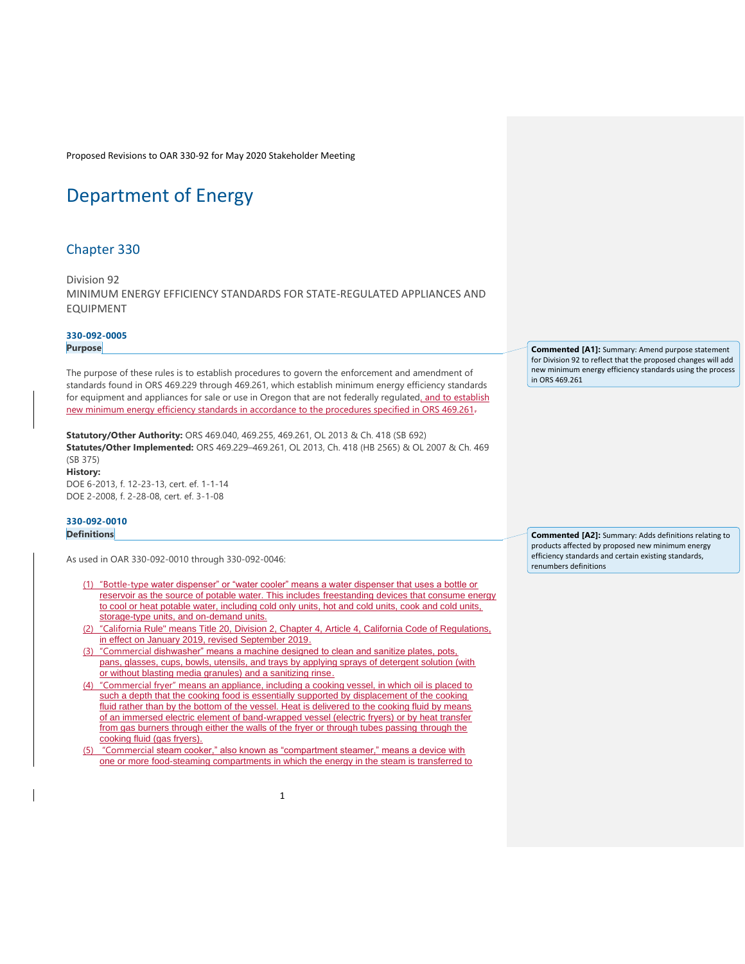# [Department of Energy](https://secure.sos.state.or.us/oard/displayChapterRules.action;JSESSIONID_OARD=-bvAb5b_zyctY5oin4x8Z_EAWI0Hre7rx9GUKFg0snEtPhSNAhPL!-1666358216?selectedChapter=78)

# [Chapter 330](https://secure.sos.state.or.us/oard/displayChapterRules.action;JSESSIONID_OARD=-bvAb5b_zyctY5oin4x8Z_EAWI0Hre7rx9GUKFg0snEtPhSNAhPL!-1666358216?selectedChapter=78)

Division 92 MINIMUM ENERGY EFFICIENCY STANDARDS FOR STATE-REGULATED APPLIANCES AND EQUIPMENT

# **[330-092-0005](https://secure.sos.state.or.us/oard/viewSingleRule.action;JSESSIONID_OARD=-bvAb5b_zyctY5oin4x8Z_EAWI0Hre7rx9GUKFg0snEtPhSNAhPL!-1666358216?ruleVrsnRsn=49135)**

**Purpose**

The purpose of these rules is to establish procedures to govern the enforcement and amendment of standards found in ORS 469.229 through 469.261, which establish minimum energy efficiency standards for equipment and appliances for sale or use in Oregon that are not federally regulated, and to establish new minimum energy efficiency standards in accordance to the procedures specified in ORS 469.261.

**Statutory/Other Authority:** ORS 469.040, 469.255, 469.261, OL 2013 & Ch. 418 (SB 692) **Statutes/Other Implemented:** ORS 469.229–469.261, OL 2013, Ch. 418 (HB 2565) & OL 2007 & Ch. 469 (SB 375) **History:** DOE 6-2013, f. 12-23-13, cert. ef. 1-1-14 DOE 2-2008, f. 2-28-08, cert. ef. 3-1-08

## **[330-092-0010](https://secure.sos.state.or.us/oard/viewSingleRule.action;JSESSIONID_OARD=-bvAb5b_zyctY5oin4x8Z_EAWI0Hre7rx9GUKFg0snEtPhSNAhPL!-1666358216?ruleVrsnRsn=49137) Definitions**

As used in OAR 330-092-0010 through 330-092-0046:

- (1) "Bottle-type water dispenser" or "water cooler" means a water dispenser that uses a bottle or reservoir as the source of potable water. This includes freestanding devices that consume energy to cool or heat potable water, including cold only units, hot and cold units, cook and cold units, storage-type units, and on-demand units.
- (2) "California Rule" means Title 20, Division 2, Chapter 4, Article 4, California Code of Regulations, in effect on January 2019, revised September 2019.
- (3) "Commercial dishwasher" means a machine designed to clean and sanitize plates, pots, pans, glasses, cups, bowls, utensils, and trays by applying sprays of detergent solution (with or without blasting media granules) and a sanitizing rinse.
- (4) "Commercial fryer" means an appliance, including a cooking vessel, in which oil is placed to such a depth that the cooking food is essentially supported by displacement of the cooking fluid rather than by the bottom of the vessel. Heat is delivered to the cooking fluid by means of an immersed electric element of band-wrapped vessel (electric fryers) or by heat transfer from gas burners through either the walls of the fryer or through tubes passing through the cooking fluid (gas fryers).
- (5) "Commercial steam cooker," also known as "compartment steamer," means a device with one or more food-steaming compartments in which the energy in the steam is transferred to

**Commented [A1]:** Summary: Amend purpose statement for Division 92 to reflect that the proposed changes will add new minimum energy efficiency standards using the process in ORS 469.261

**Commented [A2]:** Summary: Adds definitions relating to products affected by proposed new minimum energy efficiency standards and certain existing standards, renumbers definitions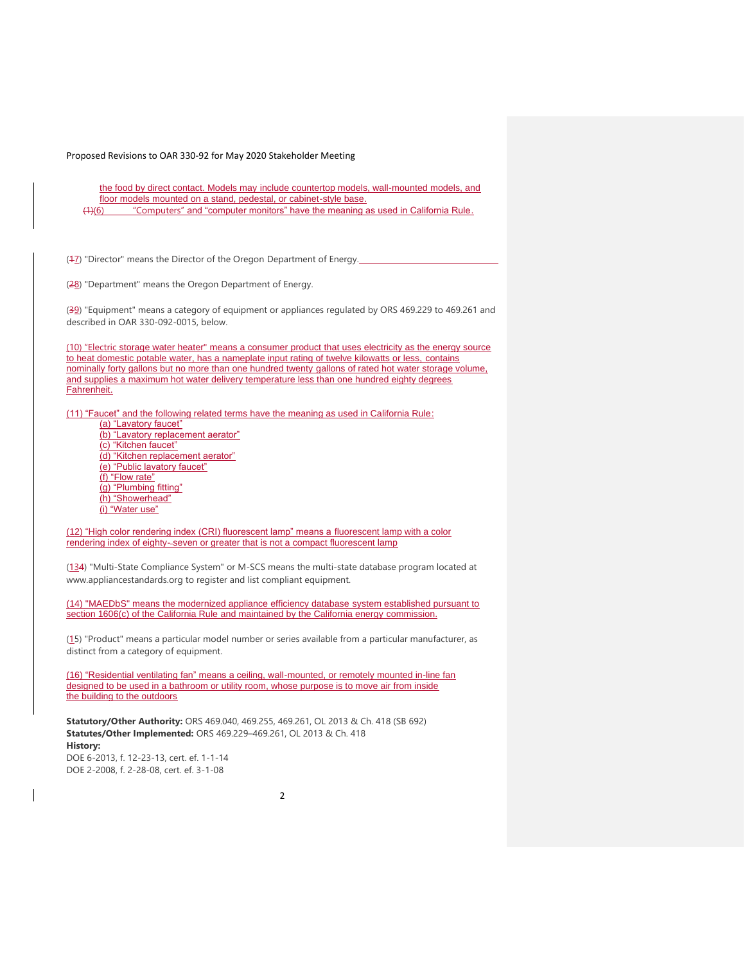the food by direct contact. Models may include countertop models, wall-mounted models, and floor models mounted on a stand, pedestal, or cabinet-style base. (1)(6) "Computers" and "computer monitors" have the meaning as used in California Rule.

(47) "Director" means the Director of the Oregon Department of Energy.

(28) "Department" means the Oregon Department of Energy.

(39) "Equipment" means a category of equipment or appliances regulated by ORS 469.229 to 469.261 and described in OAR 330-092-0015, below.

(10) "Electric storage water heater" means a consumer product that uses electricity as the energy source to heat domestic potable water, has a nameplate input rating of twelve kilowatts or less, contains nominally forty gallons but no more than one hundred twenty gallons of rated hot water storage volume, and supplies a maximum hot water delivery temperature less than one hundred eighty degrees Fahrenheit.

(11) "Faucet" and the following related terms have the meaning as used in California Rule:

(a) "Lavatory faucet" (b) "Lavatory replacement aerator" (c) "Kitchen faucet" (d) "Kitchen replacement aerator" (e) "Public lavatory faucet" (f) "Flow rate" (g) "Plumbing fitting" (h) "Showerhead" (i) "Water use"

(12) "High color rendering index (CRI) fluorescent lamp" means a fluorescent lamp with a color rendering index of eighty-seven or greater that is not a compact fluorescent lamp

(134) "Multi-State Compliance System" or M-SCS means the multi-state database program located at www.appliancestandards.org to register and list compliant equipment.

(14) "MAEDbS" means the modernized appliance efficiency database system established pursuant to section 1606(c) of the California Rule and maintained by the California energy commission.

(15) "Product" means a particular model number or series available from a particular manufacturer, as distinct from a category of equipment.

(16) "Residential ventilating fan" means a ceiling, wall-mounted, or remotely mounted in-line fan designed to be used in a bathroom or utility room, whose purpose is to move air from inside the building to the outdoors

**Statutory/Other Authority:** ORS 469.040, 469.255, 469.261, OL 2013 & Ch. 418 (SB 692) **Statutes/Other Implemented:** ORS 469.229–469.261, OL 2013 & Ch. 418 **History:**

DOE 6-2013, f. 12-23-13, cert. ef. 1-1-14 DOE 2-2008, f. 2-28-08, cert. ef. 3-1-08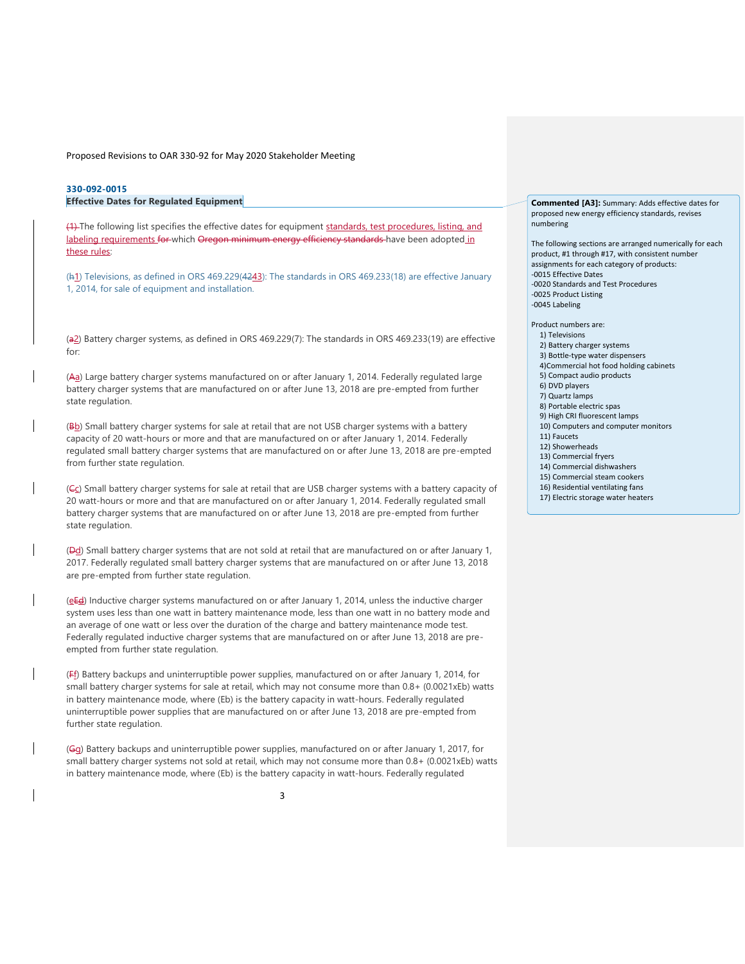# **[330-092-0015](https://secure.sos.state.or.us/oard/viewSingleRule.action;JSESSIONID_OARD=-bvAb5b_zyctY5oin4x8Z_EAWI0Hre7rx9GUKFg0snEtPhSNAhPL!-1666358216?ruleVrsnRsn=253523)**

**Effective Dates for Regulated Equipment**

(4) The following list specifies the effective dates for equipment standards, test procedures, listing, and labeling requirements for which Oregon minimum energy efficiency standards have been adopted in these rules:

(h<sub>1</sub>) Televisions, as defined in ORS 469.229(4243): The standards in ORS 469.233(18) are effective January 1, 2014, for sale of equipment and installation.

(a2) Battery charger systems, as defined in ORS 469.229(7): The standards in ORS 469.233(19) are effective for:

(Aa) Large battery charger systems manufactured on or after January 1, 2014. Federally regulated large battery charger systems that are manufactured on or after June 13, 2018 are pre-empted from further state regulation.

(Bb) Small battery charger systems for sale at retail that are not USB charger systems with a battery capacity of 20 watt-hours or more and that are manufactured on or after January 1, 2014. Federally regulated small battery charger systems that are manufactured on or after June 13, 2018 are pre-empted from further state regulation.

(Cc) Small battery charger systems for sale at retail that are USB charger systems with a battery capacity of 20 watt-hours or more and that are manufactured on or after January 1, 2014. Federally regulated small battery charger systems that are manufactured on or after June 13, 2018 are pre-empted from further state regulation.

(Dd) Small battery charger systems that are not sold at retail that are manufactured on or after January 1, 2017. Federally regulated small battery charger systems that are manufactured on or after June 13, 2018 are pre-empted from further state regulation.

(eEd) Inductive charger systems manufactured on or after January 1, 2014, unless the inductive charger system uses less than one watt in battery maintenance mode, less than one watt in no battery mode and an average of one watt or less over the duration of the charge and battery maintenance mode test. Federally regulated inductive charger systems that are manufactured on or after June 13, 2018 are preempted from further state regulation.

(Ff) Battery backups and uninterruptible power supplies, manufactured on or after January 1, 2014, for small battery charger systems for sale at retail, which may not consume more than 0.8+ (0.0021xEb) watts in battery maintenance mode, where (Eb) is the battery capacity in watt-hours. Federally regulated uninterruptible power supplies that are manufactured on or after June 13, 2018 are pre-empted from further state regulation.

(Gg) Battery backups and uninterruptible power supplies, manufactured on or after January 1, 2017, for small battery charger systems not sold at retail, which may not consume more than 0.8+ (0.0021xEb) watts in battery maintenance mode, where (Eb) is the battery capacity in watt-hours. Federally regulated

**Commented [A3]:** Summary: Adds effective dates for proposed new energy efficiency standards, revises numbering

The following sections are arranged numerically for each product, #1 through #17, with consistent number assignments for each category of products: -0015 Effective Dates -0020 Standards and Test Procedures -0025 Product Listing -0045 Labeling

Product numbers are:

- 1) Televisions
- 2) Battery charger systems
- 3) Bottle-type water dispensers
- 4)Commercial hot food holding cabinets
- 5) Compact audio products
- 6) DVD players 7) Quartz lamps
- 8) Portable electric spas
- 9) High CRI fluorescent lamps
- 10) Computers and computer monitors
- 11) Faucets
- 12) Showerheads
- 13) Commercial fryers
- 14) Commercial dishwashers
- 15) Commercial steam cookers
- 16) Residential ventilating fans
- 17) Electric storage water heaters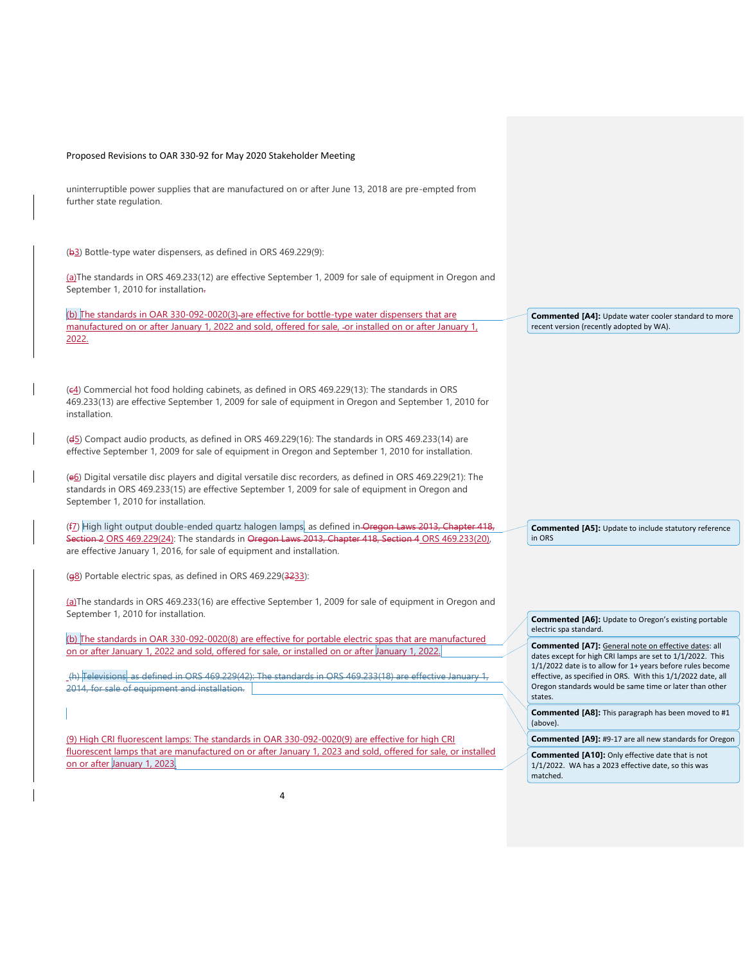uninterruptible power supplies that are manufactured on or after June 13, 2018 are pre-empted from further state regulation.

(b3) Bottle-type water dispensers, as defined in ORS 469.229(9):

(a)The standards in ORS 469.233(12) are effective September 1, 2009 for sale of equipment in Oregon and September 1, 2010 for installation.

(b) The standards in OAR 330-092-0020(3) are effective for bottle-type water dispensers that are manufactured on or after January 1, 2022 and sold, offered for sale, -or installed on or after January 1, 2022.

(c4) Commercial hot food holding cabinets, as defined in ORS 469.229(13): The standards in ORS 469.233(13) are effective September 1, 2009 for sale of equipment in Oregon and September 1, 2010 for installation.

(d5) Compact audio products, as defined in ORS 469.229(16): The standards in ORS 469.233(14) are effective September 1, 2009 for sale of equipment in Oregon and September 1, 2010 for installation.

(e6) Digital versatile disc players and digital versatile disc recorders, as defined in ORS 469.229(21): The standards in ORS 469.233(15) are effective September 1, 2009 for sale of equipment in Oregon and September 1, 2010 for installation.

(f<sub>2</sub>) High light output double-ended quartz halogen lamps, as defined in Oregon Laws 2013, Chapter 418, Section 2 ORS 469.229(24): The standards in Oregon Laws 2013, Chapter 418, Section 4 ORS 469.233(20), are effective January 1, 2016, for sale of equipment and installation.

(g8) Portable electric spas, as defined in ORS 469.229(3233):

(a)The standards in ORS 469.233(16) are effective September 1, 2009 for sale of equipment in Oregon and September 1, 2010 for installation.

(b) The standards in OAR 330-092-0020(8) are effective for portable electric spas that are manufactured on or after January 1, 2022 and sold, offered for sale, or installed on or after January 1, 2022.

(h) Televisions, as defined in ORS 469.229(42): The standards in ORS 469.233(18) are effective January 1, 2014, for sale of equipment and installation.

(9) High CRI fluorescent lamps: The standards in OAR 330-092-0020(9) are effective for high CRI fluorescent lamps that are manufactured on or after January 1, 2023 and sold, offered for sale, or installed on or after January 1, 2023.

**Commented [A4]:** Update water cooler standard to more recent version (recently adopted by WA).

**Commented [A5]:** Update to include statutory reference in ORS

**Commented [A6]:** Update to Oregon's existing portable electric spa standard.

**Commented [A7]:** General note on effective dates: all dates except for high CRI lamps are set to 1/1/2022. This 1/1/2022 date is to allow for 1+ years before rules become effective, as specified in ORS. With this 1/1/2022 date, all Oregon standards would be same time or later than other states.

**Commented [A8]:** This paragraph has been moved to #1 (above).

**Commented [A9]:** #9-17 are all new standards for Oregon

**Commented [A10]:** Only effective date that is not 1/1/2022. WA has a 2023 effective date, so this was matched.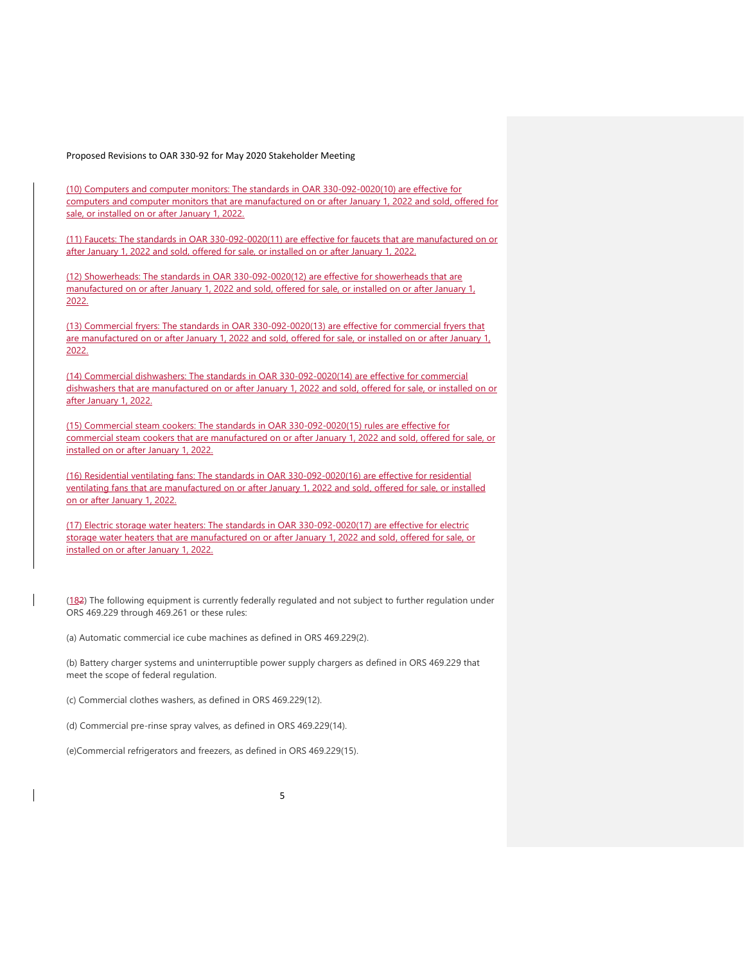(10) Computers and computer monitors: The standards in OAR 330-092-0020(10) are effective for computers and computer monitors that are manufactured on or after January 1, 2022 and sold, offered for sale, or installed on or after January 1, 2022.

(11) Faucets: The standards in OAR 330-092-0020(11) are effective for faucets that are manufactured on or after January 1, 2022 and sold, offered for sale, or installed on or after January 1, 2022.

(12) Showerheads: The standards in OAR 330-092-0020(12) are effective for showerheads that are manufactured on or after January 1, 2022 and sold, offered for sale, or installed on or after January 1, 2022.

(13) Commercial fryers: The standards in OAR 330-092-0020(13) are effective for commercial fryers that are manufactured on or after January 1, 2022 and sold, offered for sale, or installed on or after January 1, 2022.

(14) Commercial dishwashers: The standards in OAR 330-092-0020(14) are effective for commercial dishwashers that are manufactured on or after January 1, 2022 and sold, offered for sale, or installed on or after January 1, 2022.

(15) Commercial steam cookers: The standards in OAR 330-092-0020(15) rules are effective for commercial steam cookers that are manufactured on or after January 1, 2022 and sold, offered for sale, or installed on or after January 1, 2022.

(16) Residential ventilating fans: The standards in OAR 330-092-0020(16) are effective for residential ventilating fans that are manufactured on or after January 1, 2022 and sold, offered for sale, or installed on or after January 1, 2022.

(17) Electric storage water heaters: The standards in OAR 330-092-0020(17) are effective for electric storage water heaters that are manufactured on or after January 1, 2022 and sold, offered for sale, or installed on or after January 1, 2022.

(182) The following equipment is currently federally regulated and not subject to further regulation under ORS 469.229 through 469.261 or these rules:

(a) Automatic commercial ice cube machines as defined in ORS 469.229(2).

(b) Battery charger systems and uninterruptible power supply chargers as defined in ORS 469.229 that meet the scope of federal regulation.

(c) Commercial clothes washers, as defined in ORS 469.229(12).

(d) Commercial pre-rinse spray valves, as defined in ORS 469.229(14).

(e)Commercial refrigerators and freezers, as defined in ORS 469.229(15).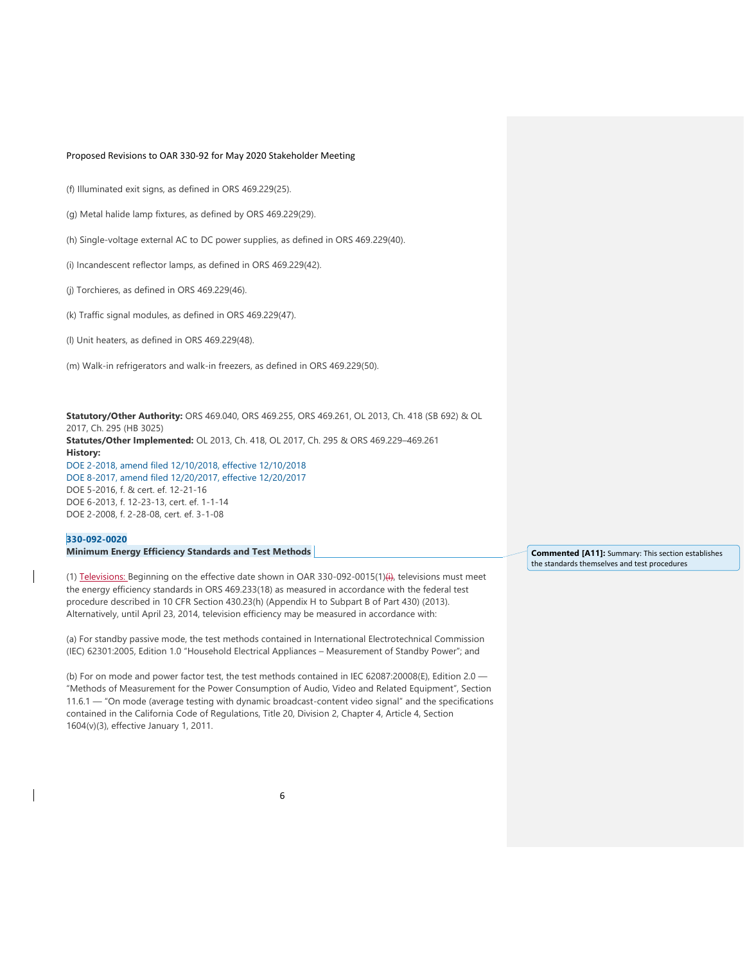(f) Illuminated exit signs, as defined in ORS 469.229(25).

(g) Metal halide lamp fixtures, as defined by ORS 469.229(29).

(h) Single-voltage external AC to DC power supplies, as defined in ORS 469.229(40).

(i) Incandescent reflector lamps, as defined in ORS 469.229(42).

(j) Torchieres, as defined in ORS 469.229(46).

(k) Traffic signal modules, as defined in ORS 469.229(47).

(l) Unit heaters, as defined in ORS 469.229(48).

(m) Walk-in refrigerators and walk-in freezers, as defined in ORS 469.229(50).

**Statutory/Other Authority:** ORS 469.040, ORS 469.255, ORS 469.261, OL 2013, Ch. 418 (SB 692) & OL 2017, Ch. 295 (HB 3025) **Statutes/Other Implemented:** OL 2013, Ch. 418, OL 2017, Ch. 295 & ORS 469.229–469.261 **History:** [DOE 2-2018, amend filed 12/10/2018, effective 12/10/2018](https://secure.sos.state.or.us/oard/viewReceiptTRIM.action;JSESSIONID_OARD=-bvAb5b_zyctY5oin4x8Z_EAWI0Hre7rx9GUKFg0snEtPhSNAhPL!-1666358216?ptId=6846288) [DOE 8-2017, amend filed 12/20/2017, effective 12/20/2017](https://secure.sos.state.or.us/oard/viewReceiptTRIM.action;JSESSIONID_OARD=-bvAb5b_zyctY5oin4x8Z_EAWI0Hre7rx9GUKFg0snEtPhSNAhPL!-1666358216?ptId=6843085) DOE 5-2016, f. & cert. ef. 12-21-16 DOE 6-2013, f. 12-23-13, cert. ef. 1-1-14 DOE 2-2008, f. 2-28-08, cert. ef. 3-1-08

#### **[330-092-0020](https://secure.sos.state.or.us/oard/viewSingleRule.action;JSESSIONID_OARD=-bvAb5b_zyctY5oin4x8Z_EAWI0Hre7rx9GUKFg0snEtPhSNAhPL!-1666358216?ruleVrsnRsn=253524)**

**Minimum Energy Efficiency Standards and Test Methods** 

(1) Televisions: Beginning on the effective date shown in OAR 330-092-0015(1)(i), televisions must meet the energy efficiency standards in ORS 469.233(18) as measured in accordance with the federal test procedure described in 10 CFR Section 430.23(h) (Appendix H to Subpart B of Part 430) (2013). Alternatively, until April 23, 2014, television efficiency may be measured in accordance with:

(a) For standby passive mode, the test methods contained in International Electrotechnical Commission (IEC) 62301:2005, Edition 1.0 "Household Electrical Appliances – Measurement of Standby Power"; and

(b) For on mode and power factor test, the test methods contained in IEC 62087:20008(E), Edition 2.0 — "Methods of Measurement for the Power Consumption of Audio, Video and Related Equipment", Section 11.6.1 — "On mode (average testing with dynamic broadcast-content video signal" and the specifications contained in the California Code of Regulations, Title 20, Division 2, Chapter 4, Article 4, Section 1604(v)(3), effective January 1, 2011.

**Commented [A11]:** Summary: This section establishes the standards themselves and test procedures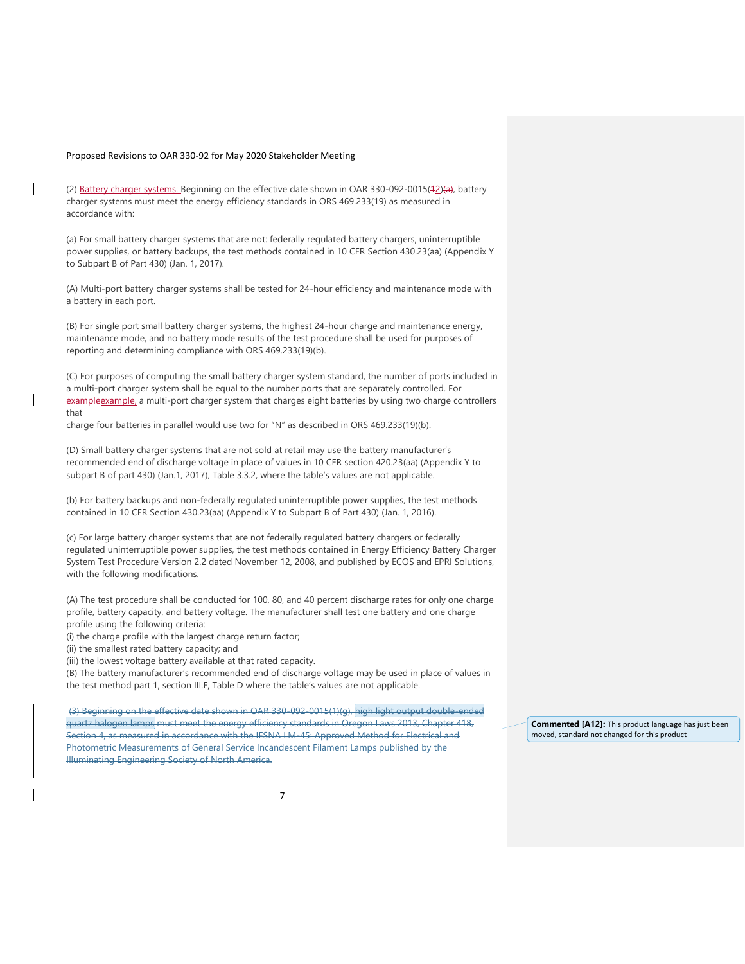(2) Battery charger systems: Beginning on the effective date shown in OAR 330-092-0015(42)(a), battery charger systems must meet the energy efficiency standards in ORS 469.233(19) as measured in accordance with:

(a) For small battery charger systems that are not: federally regulated battery chargers, uninterruptible power supplies, or battery backups, the test methods contained in 10 CFR Section 430.23(aa) (Appendix Y to Subpart B of Part 430) (Jan. 1, 2017).

(A) Multi-port battery charger systems shall be tested for 24-hour efficiency and maintenance mode with a battery in each port.

(B) For single port small battery charger systems, the highest 24-hour charge and maintenance energy, maintenance mode, and no battery mode results of the test procedure shall be used for purposes of reporting and determining compliance with ORS 469.233(19)(b).

(C) For purposes of computing the small battery charger system standard, the number of ports included in a multi-port charger system shall be equal to the number ports that are separately controlled. For exampleexample, a multi-port charger system that charges eight batteries by using two charge controllers that

charge four batteries in parallel would use two for "N" as described in ORS 469.233(19)(b).

(D) Small battery charger systems that are not sold at retail may use the battery manufacturer's recommended end of discharge voltage in place of values in 10 CFR section 420.23(aa) (Appendix Y to subpart B of part 430) (Jan.1, 2017), Table 3.3.2, where the table's values are not applicable.

(b) For battery backups and non-federally regulated uninterruptible power supplies, the test methods contained in 10 CFR Section 430.23(aa) (Appendix Y to Subpart B of Part 430) (Jan. 1, 2016).

(c) For large battery charger systems that are not federally regulated battery chargers or federally regulated uninterruptible power supplies, the test methods contained in Energy Efficiency Battery Charger System Test Procedure Version 2.2 dated November 12, 2008, and published by ECOS and EPRI Solutions, with the following modifications.

(A) The test procedure shall be conducted for 100, 80, and 40 percent discharge rates for only one charge profile, battery capacity, and battery voltage. The manufacturer shall test one battery and one charge profile using the following criteria:

(i) the charge profile with the largest charge return factor;

(ii) the smallest rated battery capacity; and

(iii) the lowest voltage battery available at that rated capacity.

(B) The battery manufacturer's recommended end of discharge voltage may be used in place of values in the test method part 1, section III.F, Table D where the table's values are not applicable.

(3) Beginning on the effective date shown in OAR 330-092-0015(1)(g), high light output double-ended quartz halogen lamps must meet the energy efficiency standards in Oregon Laws 2013, Chapter 418, Section 4, as measured in accordance with the IESNA LM-45: Approved Method for Electrical and Photometric Measurements of General Service Incandescent Filament Lamps published by the Illuminating Engineering Society of North America.

**Commented [A12]:** This product language has just been moved, standard not changed for this product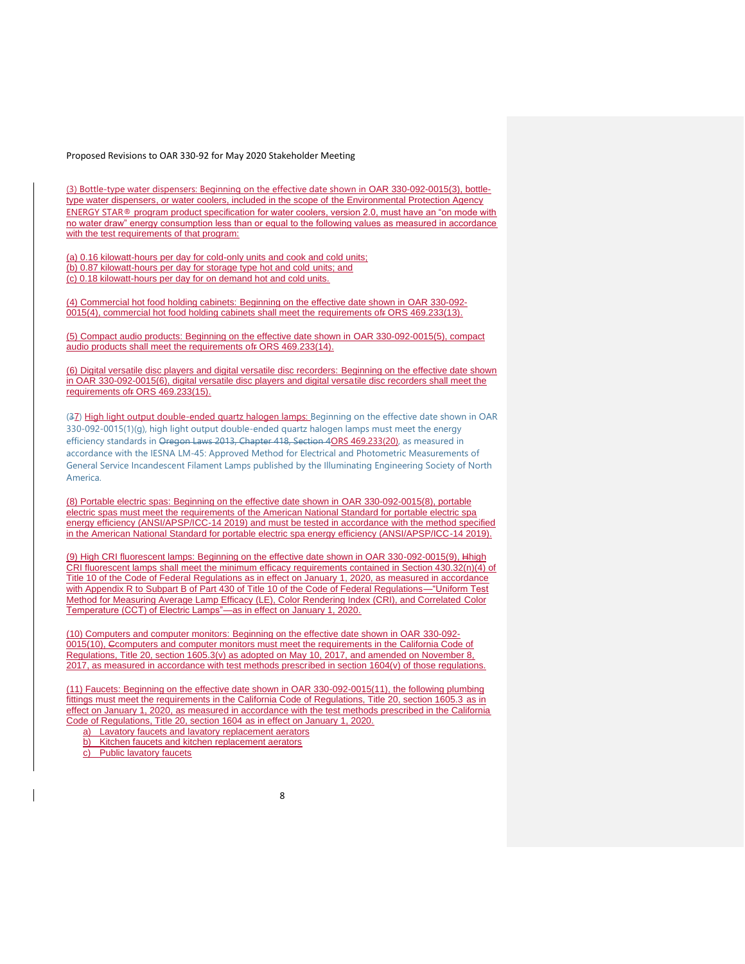(3) Bottle-type water dispensers: Beginning on the effective date shown in OAR 330-092-0015(3), bottletype water dispensers, or water coolers, included in the scope of the Environmental Protection Agency ENERGY STAR® program product specification for water coolers, version 2.0, must have an "on mode with no water draw" energy consumption less than or equal to the following values as measured in accordance with the test requirements of that program:

(a) 0.16 kilowatt-hours per day for cold-only units and cook and cold units; (b) 0.87 kilowatt-hours per day for storage type hot and cold units; and (c) 0.18 kilowatt-hours per day for on demand hot and cold units.

(4) Commercial hot food holding cabinets: Beginning on the effective date shown in OAR 330-092- 0015(4), commercial hot food holding cabinets shall meet the requirements ofr ORS 469.233(13).

(5) Compact audio products: Beginning on the effective date shown in OAR 330-092-0015(5), compact audio products shall meet the requirements ofr ORS 469.233(14).

(6) Digital versatile disc players and digital versatile disc recorders: Beginning on the effective date shown in OAR 330-092-0015(6), digital versatile disc players and digital versatile disc recorders shall meet the requirements ofr ORS 469.233(15).

(37) High light output double-ended quartz halogen lamps: Beginning on the effective date shown in OAR 330-092-0015(1)(g), high light output double-ended quartz halogen lamps must meet the energy efficiency standards in Oregon Laws 2013, Chapter 418, Section 4ORS 469.233(20), as measured in accordance with the IESNA LM-45: Approved Method for Electrical and Photometric Measurements of General Service Incandescent Filament Lamps published by the Illuminating Engineering Society of North America.

(8) Portable electric spas: Beginning on the effective date shown in OAR 330-092-0015(8), portable electric spas must meet the requirements of the American National Standard for portable electric spa energy efficiency (ANSI/APSP/ICC-14 2019) and must be tested in accordance with the method specified in the American National Standard for portable electric spa energy efficiency (ANSI/APSP/ICC-14 2019).

(9) High CRI fluorescent lamps: Beginning on the effective date shown in OAR 330-092-0015(9), Hhigh CRI fluorescent lamps shall meet the minimum efficacy requirements contained in Section 430.32(n)(4) of Title 10 of the Code of Federal Regulations as in effect on January 1, 2020, as measured in accordance with Appendix R to Subpart B of Part 430 of Title 10 of the Code of Federal Regulations—"Uniform Test Method for Measuring Average Lamp Efficacy (LE), Color Rendering Index (CRI), and Correlated Color Temperature (CCT) of Electric Lamps"—as in effect on January 1, 2020.

(10) Computers and computer monitors: Beginning on the effective date shown in OAR 330-092- 0015(10), Ccomputers and computer monitors must meet the requirements in the California Code of Regulations, Title 20, section 1605.3(v) as adopted on May 10, 2017, and amended on November 8, 2017, as measured in accordance with test methods prescribed in section 1604(v) of those regulations.

(11) Faucets: Beginning on the effective date shown in OAR 330-092-0015(11), the following plumbing fittings must meet the requirements in the California Code of Regulations, Title 20, section 1605.3 as in effect on January 1, 2020, as measured in accordance with the test methods prescribed in the California Code of Regulations, Title 20, section 1604 as in effect on January 1, 2020. a) Lavatory faucets and lavatory replacement aerators

b) Kitchen faucets and kitchen replacement aerators

c) Public lavatory faucets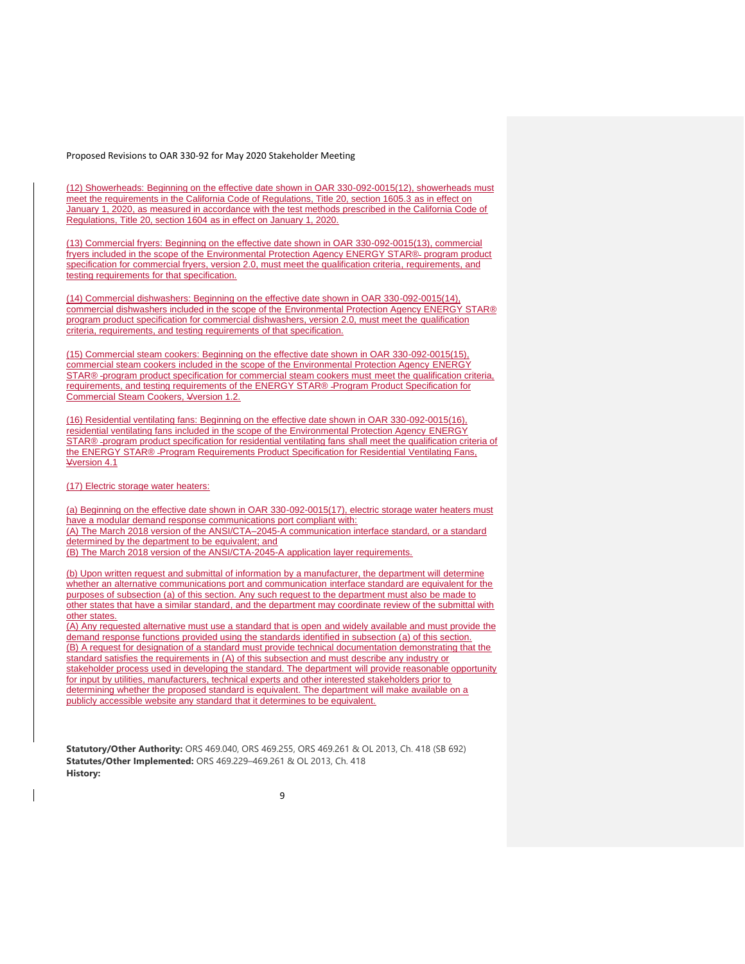(12) Showerheads: Beginning on the effective date shown in OAR 330-092-0015(12), showerheads must meet the requirements in the California Code of Regulations, Title 20, section 1605.3 as in effect on January 1, 2020, as measured in accordance with the test methods prescribed in the California Code of Regulations, Title 20, section 1604 as in effect on January 1, 2020.

(13) Commercial fryers: Beginning on the effective date shown in OAR 330-092-0015(13), commercial fryers included in the scope of the Environmental Protection Agency ENERGY STAR® program product specification for commercial fryers, version 2.0, must meet the qualification criteria, requirements, and testing requirements for that specification.

(14) Commercial dishwashers: Beginning on the effective date shown in OAR 330-092-0015(14), commercial dishwashers included in the scope of the Environmental Protection Agency ENERGY STAR® program product specification for commercial dishwashers, version 2.0, must meet the qualification criteria, requirements, and testing requirements of that specification.

(15) Commercial steam cookers: Beginning on the effective date shown in OAR 330-092-0015(15), commercial steam cookers included in the scope of the Environmental Protection Agency ENERGY STAR® -program product specification for commercial steam cookers must meet the qualification criteria, requirements, and testing requirements of the ENERGY STAR® -Program Product Specification for Commercial Steam Cookers, Vversion 1.2.

(16) Residential ventilating fans: Beginning on the effective date shown in OAR 330-092-0015(16), residential ventilating fans included in the scope of the Environmental Protection Agency ENERGY STAR® -program product specification for residential ventilating fans shall meet the qualification criteria of the ENERGY STAR® Program Requirements Product Specification for Residential Ventilating Fans, Vversion 4.1

(17) Electric storage water heaters:

(a) Beginning on the effective date shown in OAR 330-092-0015(17), electric storage water heaters must have a modular demand response communications port compliant with: (A) The March 2018 version of the ANSI/CTA–2045-A communication interface standard, or a standard determined by the department to be equivalent; and (B) The March 2018 version of the ANSI/CTA-2045-A application layer requirements.

(b) Upon written request and submittal of information by a manufacturer, the department will determine whether an alternative communications port and communication interface standard are equivalent for the purposes of subsection (a) of this section. Any such request to the department must also be made to other states that have a similar standard, and the department may coordinate review of the submittal with

other states. (A) Any requested alternative must use a standard that is open and widely available and must provide the

demand response functions provided using the standards identified in subsection (a) of this section. (B) A request for designation of a standard must provide technical documentation demonstrating that the standard satisfies the requirements in (A) of this subsection and must describe any industry or stakeholder process used in developing the standard. The department will provide reasonable opportunity for input by utilities, manufacturers, technical experts and other interested stakeholders prior to determining whether the proposed standard is equivalent. The department will make available on a publicly accessible website any standard that it determines to be equivalent.

**Statutory/Other Authority:** ORS 469.040, ORS 469.255, ORS 469.261 & OL 2013, Ch. 418 (SB 692) **Statutes/Other Implemented:** ORS 469.229–469.261 & OL 2013, Ch. 418 **History:**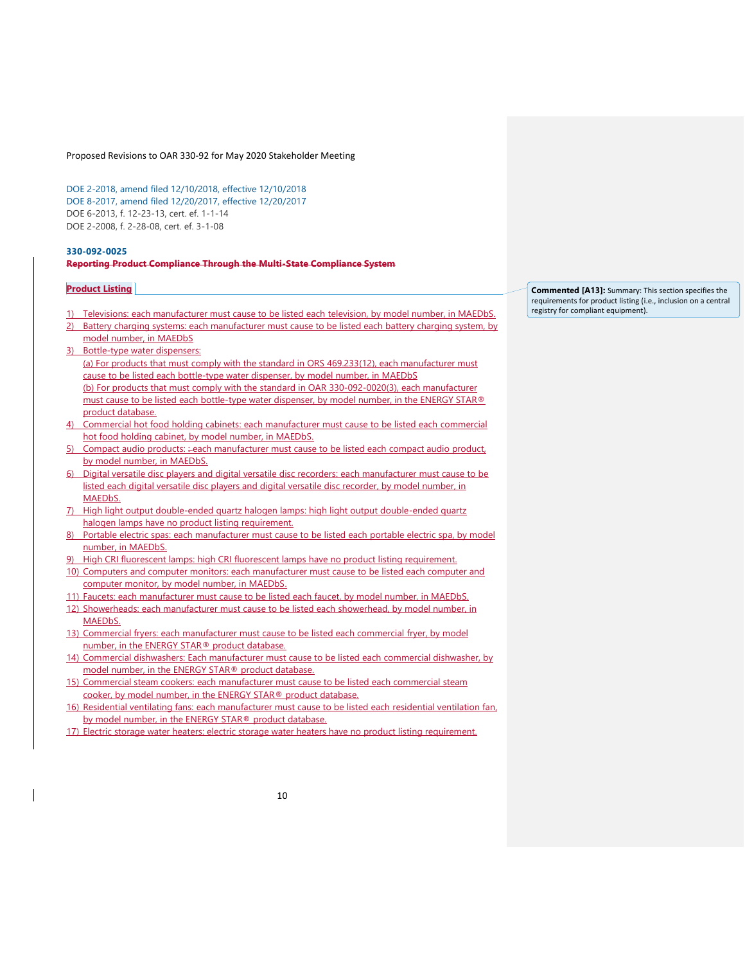[DOE 2-2018, amend filed 12/10/2018, effective 12/10/2018](https://secure.sos.state.or.us/oard/viewReceiptTRIM.action;JSESSIONID_OARD=-bvAb5b_zyctY5oin4x8Z_EAWI0Hre7rx9GUKFg0snEtPhSNAhPL!-1666358216?ptId=6846288) [DOE 8-2017, amend filed 12/20/2017, effective 12/20/2017](https://secure.sos.state.or.us/oard/viewReceiptTRIM.action;JSESSIONID_OARD=-bvAb5b_zyctY5oin4x8Z_EAWI0Hre7rx9GUKFg0snEtPhSNAhPL!-1666358216?ptId=6843085) DOE 6-2013, f. 12-23-13, cert. ef. 1-1-14 DOE 2-2008, f. 2-28-08, cert. ef. 3-1-08

#### **[330-092-0025](https://secure.sos.state.or.us/oard/viewSingleRule.action;JSESSIONID_OARD=-bvAb5b_zyctY5oin4x8Z_EAWI0Hre7rx9GUKFg0snEtPhSNAhPL!-1666358216?ruleVrsnRsn=238377) Reporting Product Compliance Through the Multi-State Compliance System**

#### **Product Listing**

- Televisions: each manufacturer must cause to be listed each television, by model number, in MAEDbS.
- 2) Battery charging systems: each manufacturer must cause to be listed each battery charging system, by model number, in MAEDbS
- 3) Bottle-type water dispensers: (a) For products that must comply with the standard in ORS 469.233(12), each manufacturer must cause to be listed each bottle-type water dispenser, by model number, in MAEDbS (b) For products that must comply with the standard in OAR 330-092-0020(3), each manufacturer must cause to be listed each bottle-type water dispenser, by model number, in the ENERGY STAR® product database.
- 4) Commercial hot food holding cabinets: each manufacturer must cause to be listed each commercial hot food holding cabinet, by model number, in MAEDbS.
- 5) Compact audio products: :- each manufacturer must cause to be listed each compact audio product, by model number, in MAEDbS.
- 6) Digital versatile disc players and digital versatile disc recorders: each manufacturer must cause to be listed each digital versatile disc players and digital versatile disc recorder, by model number, in MAEDbS.
- 7) High light output double-ended quartz halogen lamps: high light output double-ended quartz halogen lamps have no product listing requirement.
- 8) Portable electric spas: each manufacturer must cause to be listed each portable electric spa, by model number, in MAEDbS.
- High CRI fluorescent lamps: high CRI fluorescent lamps have no product listing requirement.
- 10) Computers and computer monitors: each manufacturer must cause to be listed each computer and computer monitor, by model number, in MAEDbS.
- Faucets: each manufacturer must cause to be listed each faucet, by model number, in MAEDbS. 12) Showerheads: each manufacturer must cause to be listed each showerhead, by model number, in **MAFD<sub>b</sub>S**
- 13) Commercial fryers: each manufacturer must cause to be listed each commercial fryer, by model number, in the ENERGY STAR® product database.
- 14) Commercial dishwashers: Each manufacturer must cause to be listed each commercial dishwasher, by model number, in the ENERGY STAR® product database.
- 15) Commercial steam cookers: each manufacturer must cause to be listed each commercial steam cooker, by model number, in the ENERGY STAR® product database.
- 16) Residential ventilating fans: each manufacturer must cause to be listed each residential ventilation fan, by model number, in the ENERGY STAR® product database.
- 17) Electric storage water heaters: electric storage water heaters have no product listing requirement.

**Commented [A13]:** Summary: This section specifies the requirements for product listing (i.e., inclusion on a central registry for compliant equipment).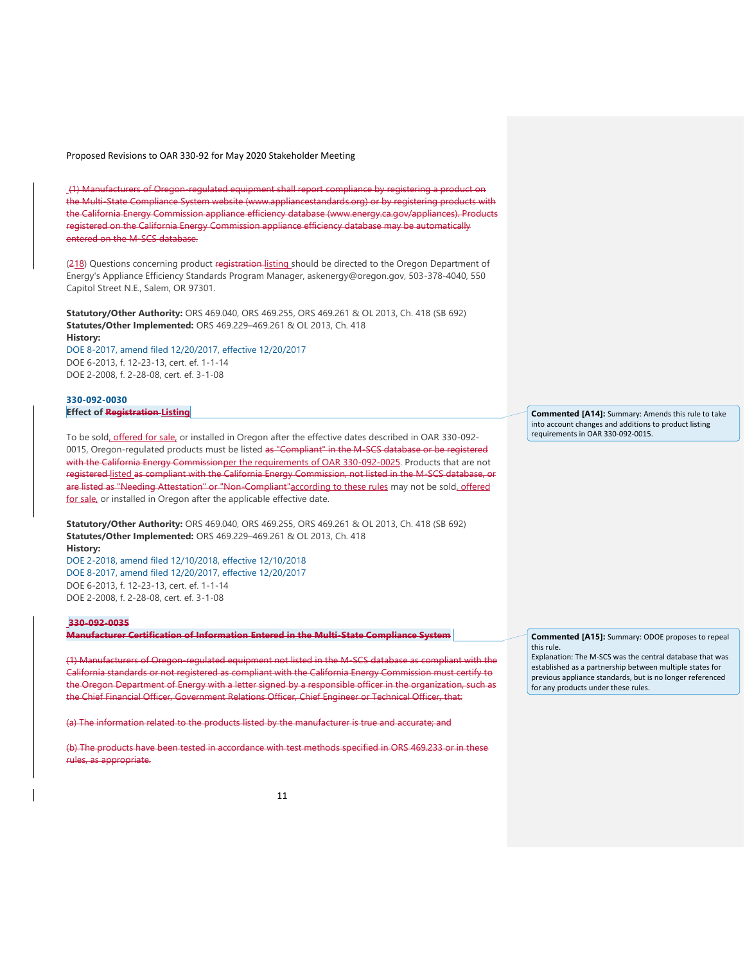(1) Manufacturers of Oregon-regulated equipment shall report compliance by registering a product on the Multi-State Compliance System website (www.appliancestandards.org) or by registering products with the California Energy Commission appliance efficiency database (www.energy.ca.gov/appliances). Products registered on the California Energy Commission appliance efficiency database may be automatically entered on the M-SCS database.

(218) Questions concerning product registration-listing should be directed to the Oregon Department of Energy's Appliance Efficiency Standards Program Manager, askenergy@oregon.gov, 503-378-4040, 550 Capitol Street N.E., Salem, OR 97301.

**Statutory/Other Authority:** ORS 469.040, ORS 469.255, ORS 469.261 & OL 2013, Ch. 418 (SB 692) **Statutes/Other Implemented:** ORS 469.229–469.261 & OL 2013, Ch. 418 **History:**

[DOE 8-2017, amend filed 12/20/2017, effective 12/20/2017](https://secure.sos.state.or.us/oard/viewReceiptTRIM.action;JSESSIONID_OARD=-bvAb5b_zyctY5oin4x8Z_EAWI0Hre7rx9GUKFg0snEtPhSNAhPL!-1666358216?ptId=6843085) DOE 6-2013, f. 12-23-13, cert. ef. 1-1-14 DOE 2-2008, f. 2-28-08, cert. ef. 3-1-08

#### **[330-092-0030](https://secure.sos.state.or.us/oard/viewSingleRule.action;JSESSIONID_OARD=-bvAb5b_zyctY5oin4x8Z_EAWI0Hre7rx9GUKFg0snEtPhSNAhPL!-1666358216?ruleVrsnRsn=253525) Effect of Registration Listing**

To be sold, offered for sale, or installed in Oregon after the effective dates described in OAR 330-092- 0015, Oregon-regulated products must be listed as "Compliant" in the M-SCS database or be registered with the California Energy Commissionper the requirements of OAR 330-092-0025. Products that are not registered listed as compliant with the California Energy Commission, not listed in the M-SCS database, or are listed as "Needing Attestation" or "Non-Compliant"according to these rules may not be sold, offered for sale, or installed in Oregon after the applicable effective date.

**Statutory/Other Authority:** ORS 469.040, ORS 469.255, ORS 469.261 & OL 2013, Ch. 418 (SB 692) **Statutes/Other Implemented:** ORS 469.229–469.261 & OL 2013, Ch. 418 **History:**

[DOE 2-2018, amend filed 12/10/2018, effective 12/10/2018](https://secure.sos.state.or.us/oard/viewReceiptTRIM.action;JSESSIONID_OARD=-bvAb5b_zyctY5oin4x8Z_EAWI0Hre7rx9GUKFg0snEtPhSNAhPL!-1666358216?ptId=6846288) [DOE 8-2017, amend filed 12/20/2017, effective 12/20/2017](https://secure.sos.state.or.us/oard/viewReceiptTRIM.action;JSESSIONID_OARD=-bvAb5b_zyctY5oin4x8Z_EAWI0Hre7rx9GUKFg0snEtPhSNAhPL!-1666358216?ptId=6843085) DOE 6-2013, f. 12-23-13, cert. ef. 1-1-14 DOE 2-2008, f. 2-28-08, cert. ef. 3-1-08

#### **330-092-0035**

**Manufacturer Certification of Information Entered in the Multi-State Compliance System** 

(1) Manufacturers of Oregon-regulated equipment not listed in the M-SCS database as compliant with the California standards or not registered as compliant with the California Energy Commission must certify to the Oregon Department of Energy with a letter signed by a responsible officer in the organization, such as the Chief Financial Officer, Government Relations Officer, Chief Engineer or Technical Officer, that:

(a) The information related to the products listed by the manufacturer is true and accurate; and

(b) The products have been tested in accordance with test methods specified in ORS 469.233 or in these rules, as appropriate.

**Commented [A14]:** Summary: Amends this rule to take into account changes and additions to product listing requirements in OAR 330-092-0015.

**Commented [A15]:** Summary: ODOE proposes to repeal this rule.

Explanation: The M-SCS was the central database that was established as a partnership between multiple states for previous appliance standards, but is no longer referenced for any products under these rules.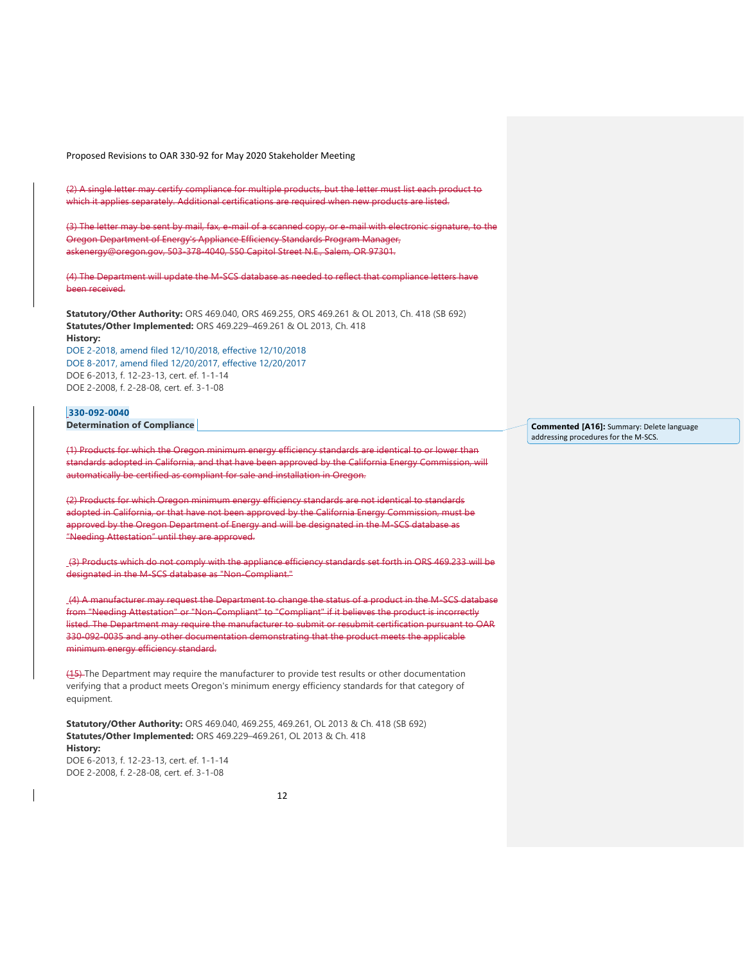(2) A single letter may certify compliance for multiple products, but the letter must list each product to which it applies separately. Additional certifications are required when new products are listed.

(3) The letter may be sent by mail, fax, e-mail of a scanned copy, or e-mail with electronic signature, to the Oregon Department of Energy's Appliance Efficiency Standards Program Manager, askenergy@oregon.gov, 503-378-4040, 550 Capitol Street N.E., Salem, OR 97301.

(4) The Department will update the M-SCS database as needed to reflect that compliance letters have been received.

**Statutory/Other Authority:** ORS 469.040, ORS 469.255, ORS 469.261 & OL 2013, Ch. 418 (SB 692) **Statutes/Other Implemented:** ORS 469.229–469.261 & OL 2013, Ch. 418 **History:**

[DOE 2-2018, amend filed 12/10/2018, effective 12/10/2018](https://secure.sos.state.or.us/oard/viewReceiptTRIM.action;JSESSIONID_OARD=-bvAb5b_zyctY5oin4x8Z_EAWI0Hre7rx9GUKFg0snEtPhSNAhPL!-1666358216?ptId=6846288) [DOE 8-2017, amend filed 12/20/2017, effective 12/20/2017](https://secure.sos.state.or.us/oard/viewReceiptTRIM.action;JSESSIONID_OARD=-bvAb5b_zyctY5oin4x8Z_EAWI0Hre7rx9GUKFg0snEtPhSNAhPL!-1666358216?ptId=6843085) DOE 6-2013, f. 12-23-13, cert. ef. 1-1-14 DOE 2-2008, f. 2-28-08, cert. ef. 3-1-08

# **[330-092-0040](https://secure.sos.state.or.us/oard/viewSingleRule.action;JSESSIONID_OARD=-bvAb5b_zyctY5oin4x8Z_EAWI0Hre7rx9GUKFg0snEtPhSNAhPL!-1666358216?ruleVrsnRsn=49150)**

**Determination of Compliance** 

(1) Products for which the Oregon minimum energy efficiency standards are identical to or lower than standards adopted in California, and that have been approved by the California Energy Commission, will automatically be certified as compliant for sale and installation in Oregon.

(2) Products for which Oregon minimum energy efficiency standards are not identical to standards adopted in California, or that have not been approved by the California Energy Commission, must be approved by the Oregon Department of Energy and will be designated in the M-SCS database as "Needing Attestation" until they are approved.

(3) Products which do not comply with the appliance efficiency standards set forth in ORS 469.233 will be designated in the M-SCS database as "Non-Compliant."

(4) A manufacturer may request the Department to change the status of a product in the M-SCS database from "Needing Attestation" or "Non-Compliant" to "Compliant" if it believes the product is incorrectly listed. The Department may require the manufacturer to submit or resubmit certification pursuant to OAR 330-092-0035 and any other documentation demonstrating that the product meets the applicable minimum energy efficiency standard.

(15) The Department may require the manufacturer to provide test results or other documentation verifying that a product meets Oregon's minimum energy efficiency standards for that category of equipment.

**Statutory/Other Authority:** ORS 469.040, 469.255, 469.261, OL 2013 & Ch. 418 (SB 692) **Statutes/Other Implemented:** ORS 469.229–469.261, OL 2013 & Ch. 418 **History:**

DOE 6-2013, f. 12-23-13, cert. ef. 1-1-14 DOE 2-2008, f. 2-28-08, cert. ef. 3-1-08

**Commented [A16]:** Summary: Delete language addressing procedures for the M-SCS.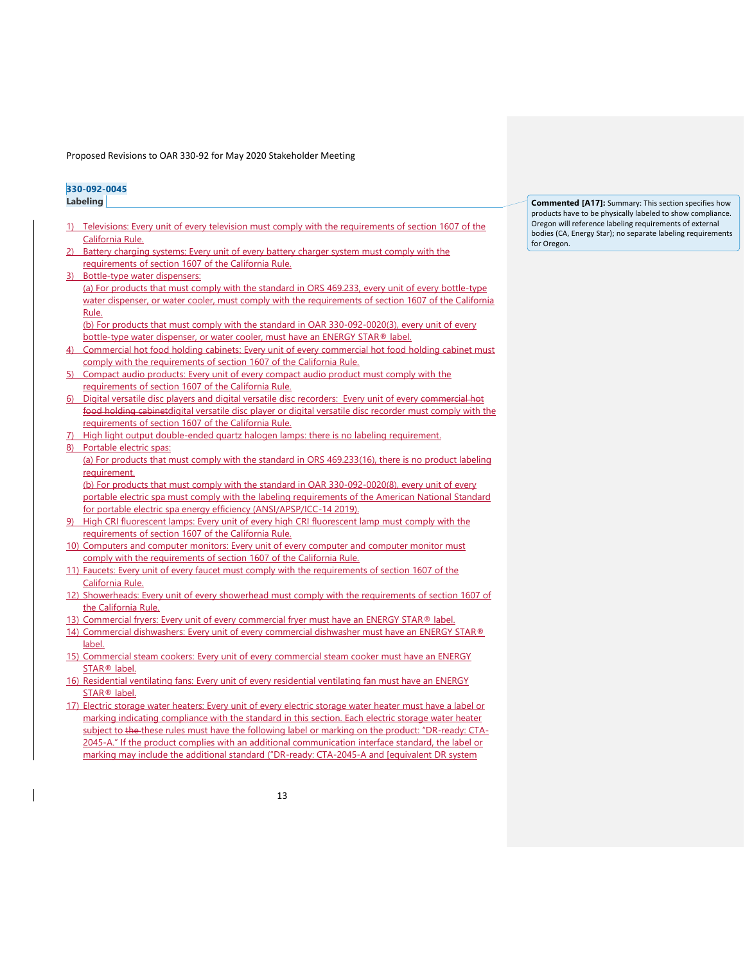## **[330-092-0045](https://secure.sos.state.or.us/oard/viewSingleRule.action;JSESSIONID_OARD=-bvAb5b_zyctY5oin4x8Z_EAWI0Hre7rx9GUKFg0snEtPhSNAhPL!-1666358216?ruleVrsnRsn=253527) Labeling**

- 1) Televisions: Every unit of every television must comply with the requirements of section 1607 of the California Rule.
- Battery charging systems: Every unit of every battery charger system must comply with the requirements of section 1607 of the California Rule.
- Bottle-type water dispensers: (a) For products that must comply with the standard in ORS 469.233, every unit of every bottle-type water dispenser, or water cooler, must comply with the requirements of section 1607 of the California Rule.

(b) For products that must comply with the standard in OAR 330-092-0020(3), every unit of every bottle-type water dispenser, or water cooler, must have an ENERGY STAR® label.

- 4) Commercial hot food holding cabinets: Every unit of every commercial hot food holding cabinet must comply with the requirements of section 1607 of the California Rule.
- 5) Compact audio products: Every unit of every compact audio product must comply with the requirements of section 1607 of the California Rule.
- 6) Digital versatile disc players and digital versatile disc recorders: Every unit of every commercial hot food holding cabinetdigital versatile disc player or digital versatile disc recorder must comply with the requirements of section 1607 of the California Rule.
- High light output double-ended quartz halogen lamps: there is no labeling requirement.
- 8) Portable electric spas:

(a) For products that must comply with the standard in ORS 469.233(16), there is no product labeling requirement.

(b) For products that must comply with the standard in OAR 330-092-0020(8), every unit of every portable electric spa must comply with the labeling requirements of the American National Standard for portable electric spa energy efficiency (ANSI/APSP/ICC-14 2019).

- High CRI fluorescent lamps: Every unit of every high CRI fluorescent lamp must comply with the requirements of section 1607 of the California Rule.
- 10) Computers and computer monitors: Every unit of every computer and computer monitor must comply with the requirements of section 1607 of the California Rule.
- 11) Faucets: Every unit of every faucet must comply with the requirements of section 1607 of the California Rule.
- 12) Showerheads: Every unit of every showerhead must comply with the requirements of section 1607 of the California Rule.
- 13) Commercial fryers: Every unit of every commercial fryer must have an ENERGY STAR® label.
- 14) Commercial dishwashers: Every unit of every commercial dishwasher must have an ENERGY STAR® label.
- 15) Commercial steam cookers: Every unit of every commercial steam cooker must have an ENERGY STAR® label.
- 16) Residential ventilating fans: Every unit of every residential ventilating fan must have an ENERGY STAR® label.
- 17) Electric storage water heaters: Every unit of every electric storage water heater must have a label or marking indicating compliance with the standard in this section. Each electric storage water heater subject to the these rules must have the following label or marking on the product: "DR-ready: CTA-2045-A." If the product complies with an additional communication interface standard, the label or marking may include the additional standard ("DR-ready: CTA-2045-A and [equivalent DR system

**Commented [A17]:** Summary: This section specifies how products have to be physically labeled to show compliance. Oregon will reference labeling requirements of external bodies (CA, Energy Star); no separate labeling requirements for Oregon.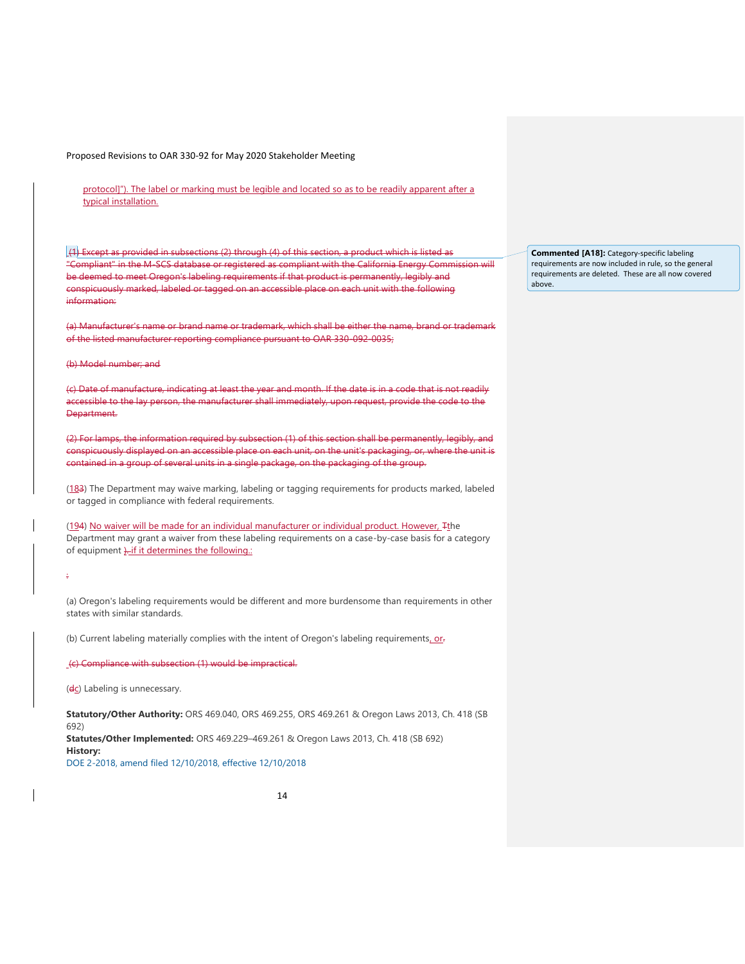protocol]"). The label or marking must be legible and located so as to be readily apparent after a typical installation.

 $(1)$  Except as provided in subsections (2) through (4) of this section, a product which is listed as "Compliant" in the M-SCS database or registered as compliant with the California Energy Commission will be deemed to meet Oregon's labeling requirements if that product is permanently, legibly and conspicuously marked, labeled or tagged on an accessible place on each unit with the following information:

(a) Manufacturer's name or brand name or trademark, which shall be either the name, brand or trademark of the listed manufacturer reporting compliance pursuant to OAR 330-092-0035;

#### (b) Model number; and

(c) Date of manufacture, indicating at least the year and month. If the date is in a code that is not readily accessible to the lay person, the manufacturer shall immediately, upon request, provide the code to the Department.

(2) For lamps, the information required by subsection (1) of this section shall be permanently, legibly, and conspicuously displayed on an accessible place on each unit, on the unit's packaging, or, where the unit is contained in a group of several units in a single package, on the packaging of the group.

(183) The Department may waive marking, labeling or tagging requirements for products marked, labeled or tagged in compliance with federal requirements.

(194) No waiver will be made for an individual manufacturer or individual product. However, Tthe Department may grant a waiver from these labeling requirements on a case-by-case basis for a category of equipment  $\frac{1}{2}$ -if it determines the following.:

:

(a) Oregon's labeling requirements would be different and more burdensome than requirements in other states with similar standards.

(b) Current labeling materially complies with the intent of Oregon's labeling requirements. or-

(c) Compliance with subsection (1) would be impractical.

(dc) Labeling is unnecessary.

**Statutory/Other Authority:** ORS 469.040, ORS 469.255, ORS 469.261 & Oregon Laws 2013, Ch. 418 (SB 692) **Statutes/Other Implemented:** ORS 469.229–469.261 & Oregon Laws 2013, Ch. 418 (SB 692) **History:** [DOE 2-2018, amend filed 12/10/2018, effective 12/10/2018](https://secure.sos.state.or.us/oard/viewReceiptTRIM.action;JSESSIONID_OARD=-bvAb5b_zyctY5oin4x8Z_EAWI0Hre7rx9GUKFg0snEtPhSNAhPL!-1666358216?ptId=6846288)

14

**Commented [A18]:** Category-specific labeling requirements are now included in rule, so the general requirements are deleted. These are all now covered above.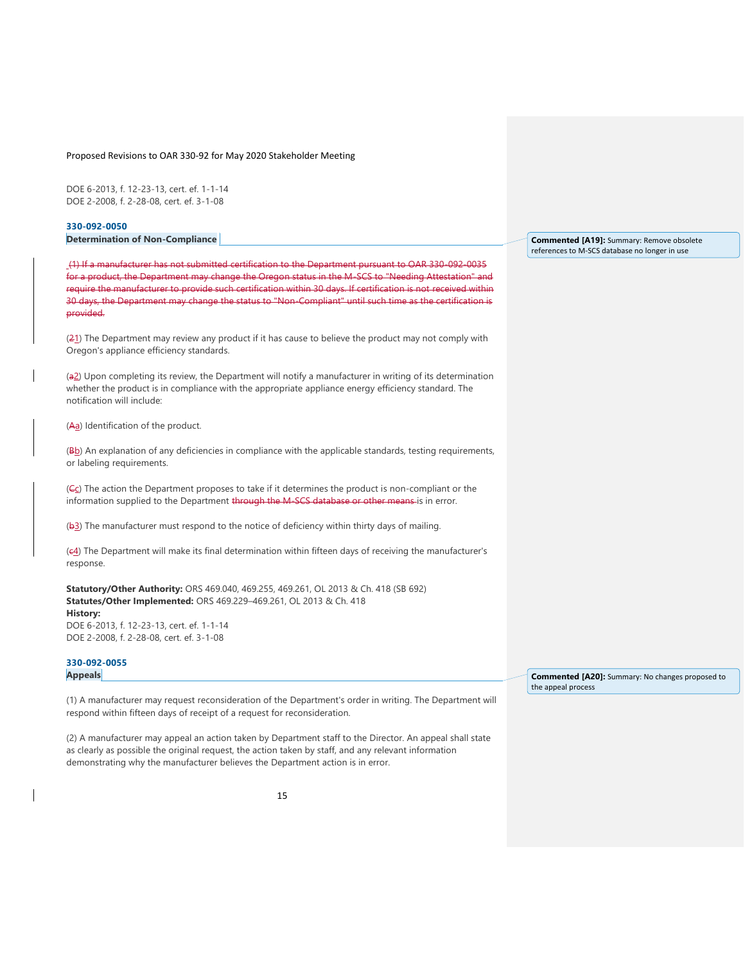DOE 6-2013, f. 12-23-13, cert. ef. 1-1-14 DOE 2-2008, f. 2-28-08, cert. ef. 3-1-08

**[330-092-0050](https://secure.sos.state.or.us/oard/viewSingleRule.action;JSESSIONID_OARD=-bvAb5b_zyctY5oin4x8Z_EAWI0Hre7rx9GUKFg0snEtPhSNAhPL!-1666358216?ruleVrsnRsn=49154) Determination of Non-Compliance** 

(1) If a manufacturer has not submitted certification to the Department pursuant to OAR 330-092-0035 for a product, the Department may change the Oregon status in the M-SCS to "Needing Attestation" and require the manufacturer to provide such certification within 30 days. If certification is not received within 30 days, the Department may change the status to "Non-Compliant" until such time as the certification is provided.

(21) The Department may review any product if it has cause to believe the product may not comply with Oregon's appliance efficiency standards.

(a2) Upon completing its review, the Department will notify a manufacturer in writing of its determination whether the product is in compliance with the appropriate appliance energy efficiency standard. The notification will include:

(Aa) Identification of the product.

(Bb) An explanation of any deficiencies in compliance with the applicable standards, testing requirements, or labeling requirements.

(Ec) The action the Department proposes to take if it determines the product is non-compliant or the information supplied to the Department through the M-SCS database or other means-is in error.

(b3) The manufacturer must respond to the notice of deficiency within thirty days of mailing.

(c4) The Department will make its final determination within fifteen days of receiving the manufacturer's response.

**Statutory/Other Authority:** ORS 469.040, 469.255, 469.261, OL 2013 & Ch. 418 (SB 692) **Statutes/Other Implemented:** ORS 469.229–469.261, OL 2013 & Ch. 418 **History:** DOE 6-2013, f. 12-23-13, cert. ef. 1-1-14

DOE 2-2008, f. 2-28-08, cert. ef. 3-1-08

# **[330-092-0055](https://secure.sos.state.or.us/oard/viewSingleRule.action;JSESSIONID_OARD=-bvAb5b_zyctY5oin4x8Z_EAWI0Hre7rx9GUKFg0snEtPhSNAhPL!-1666358216?ruleVrsnRsn=49156) Appeals**

(1) A manufacturer may request reconsideration of the Department's order in writing. The Department will respond within fifteen days of receipt of a request for reconsideration.

(2) A manufacturer may appeal an action taken by Department staff to the Director. An appeal shall state as clearly as possible the original request, the action taken by staff, and any relevant information demonstrating why the manufacturer believes the Department action is in error.

**Commented [A19]:** Summary: Remove obsolete references to M-SCS database no longer in use

**Commented [A20]:** Summary: No changes proposed to the appeal process